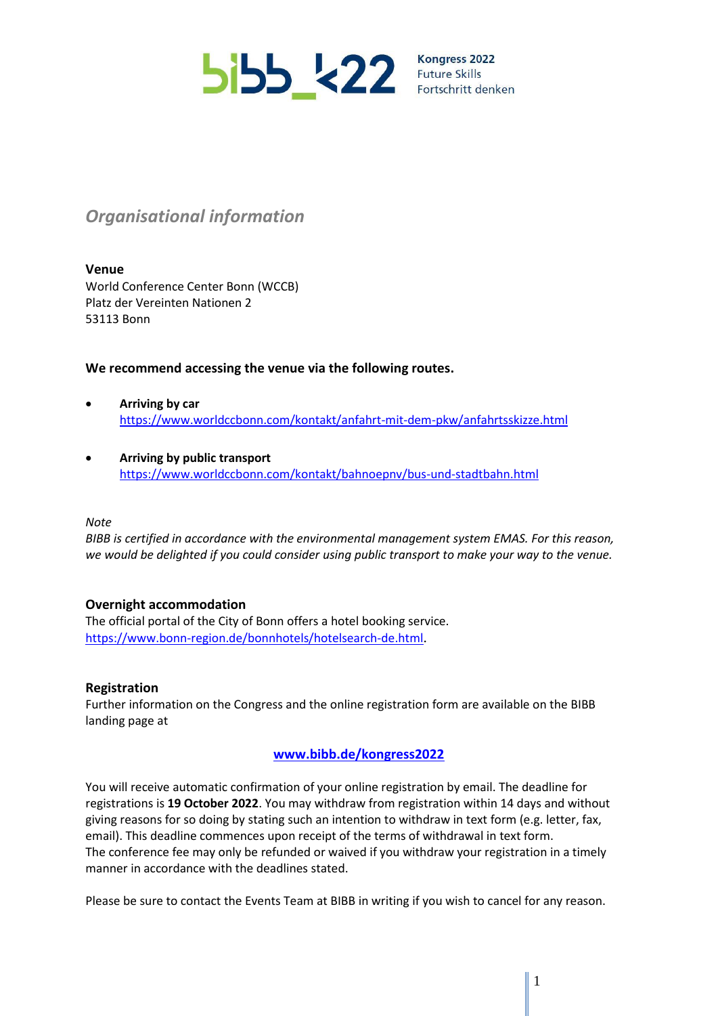

Kongress 2022 Fortschritt denken

# *Organisational information*

#### **Venue**

World Conference Center Bonn (WCCB) Platz der Vereinten Nationen 2 53113 Bonn

### **We recommend accessing the venue via the following routes.**

- **Arriving by car** <https://www.worldccbonn.com/kontakt/anfahrt-mit-dem-pkw/anfahrtsskizze.html>
- **Arriving by public transport** <https://www.worldccbonn.com/kontakt/bahnoepnv/bus-und-stadtbahn.html>

#### *Note*

*BIBB is certified in accordance with the environmental management system EMAS. For this reason, we would be delighted if you could consider using public transport to make your way to the venue.*

### **Overnight accommodation**

The official portal of the City of Bonn offers a hotel booking service. <https://www.bonn-region.de/bonnhotels/hotelsearch-de.html>.

### **Registration**

Further information on the Congress and the online registration form are available on the BIBB landing page at

## **[www.bibb.de/kongress2022](http://www.bibb.de/kongress2022)**

You will receive automatic confirmation of your online registration by email. The deadline for registrations is **19 October 2022**. You may withdraw from registration within 14 days and without giving reasons for so doing by stating such an intention to withdraw in text form (e.g. letter, fax, email). This deadline commences upon receipt of the terms of withdrawal in text form. The conference fee may only be refunded or waived if you withdraw your registration in a timely manner in accordance with the deadlines stated.

Please be sure to contact the Events Team at BIBB in writing if you wish to cancel for any reason.